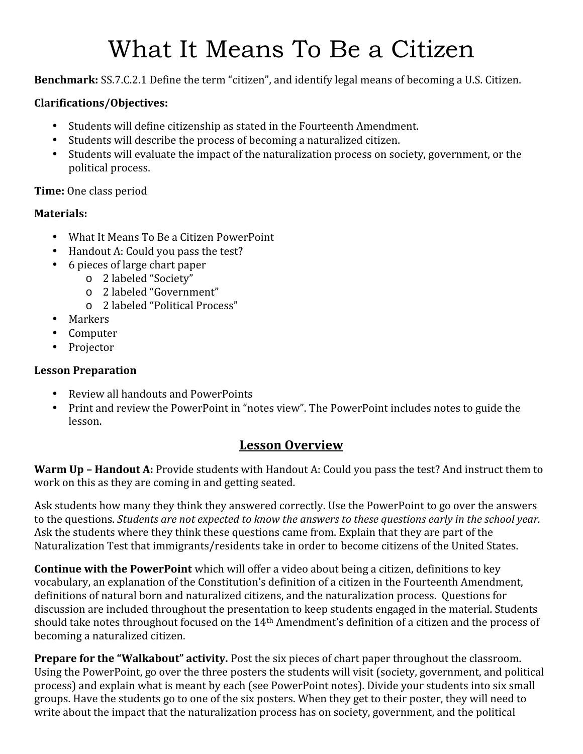# What It Means To Be a Citizen

**Benchmark:** SS.7.C.2.1 Define the term "citizen", and identify legal means of becoming a U.S. Citizen.

#### **Clarifications/Objectives:**

- 
- 
- Students will define citizenship as stated in the Fourteenth Amendment.<br>• Students will describe the process of becoming a naturalized citizen.<br>• Students will evaluate the impact of the naturalization process on society political process.

#### **Time:** One class period

#### **Materials:**

- 
- What It Means To Be a Citizen PowerPoint<br>• Handout A: Could you pass the test?<br>• 6 pieces of large chart paper
- - o 2 labeled "Society"
	- o 2 labeled "Government"
- <sup>o</sup> 2 labeled "Political Process" Markers Computer Projector
- 
- 
- 

#### **Lesson Preparation**

- 
- Review all handouts and PowerPoints<br>• Print and review the PowerPoint in "notes view". The PowerPoint includes notes to guide the lesson.

### **Lesson Overview**

**Warm Up –Handout A:** Provide students with Handout A: Could you pass the test? And instruct them to work on this as they are coming in and getting seated.

Ask students how many they think they answered correctly. Use the PowerPoint to go over the answers to the questions. *Students are not expected to know the answers to these questions early in the school year.* Ask the students where they think these questions came from. Explain that they are part of the Naturalization Test that immigrants/residents take in order to become citizens of the United States.

**Continue with the PowerPoint** which will offer a video about being a citizen, definitions to key vocabulary, an explanation of the Constitution's definition of a citizen in the Fourteenth Amendment, definitions of natural born and naturalized citizens, and the naturalization process. Questions for discussion are included throughout the presentation to keep students engaged in the material. Students should take notes throughout focused on the 14th Amendment's definition of a citizen and the process of becoming a naturalized citizen.

**Prepare for the "Walkabout" activity.** Post the six pieces of chart paper throughout the classroom. Using the PowerPoint, go over the three posters the students will visit (society, government, and political process) and explain what is meant by each (see PowerPoint notes). Divide your students into six small groups. Have the students go to one of the six posters. When they get to their poster, they will need to write about the impact that the naturalization process has on society, government, and the political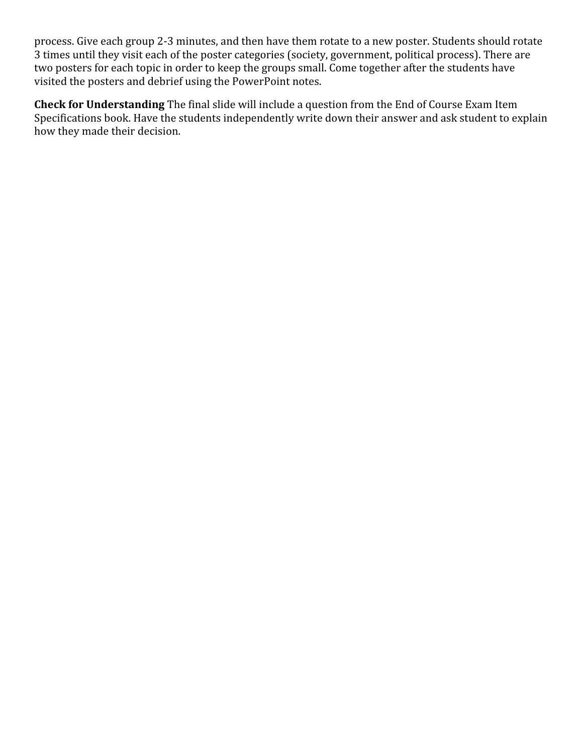process. Give each group 2-3 minutes, and then have them rotate to a new poster. Students should rotate 3 times until they visit each of the poster categories (society, government, political process). There are two posters for each topic in order to keep the groups small. Come together after the students have visited the posters and debrief using the PowerPoint notes.

**Check for Understanding** The final slide will include a question from the End of Course Exam Item Specifications book. Have the students independently write down their answer and ask student to explain how they made their decision.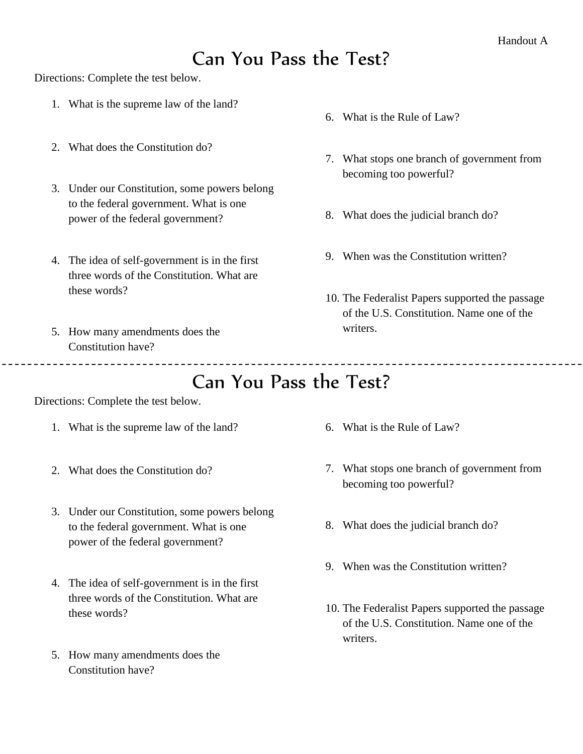## Can You Pass the Test?

Directions: Complete the test below.

- 1. What is the supreme law of the land?
- 2. What does the Constitution do?
- 3. Under our Constitution, some powers belong to the federal government. What is one power of the federal government?
- 4. The idea of self-government is in the first three words of the Constitution. What are these words?

\_\_\_\_\_\_\_\_\_\_\_\_\_\_\_\_\_\_\_\_\_\_\_\_\_\_\_\_\_\_\_

5. How many amendments does the Constitution have?

- 6. What is the Rule of Law?
- 7. What stops one branch of government from becoming too powerful?
- 8. What does the judicial branch do?
- 9. When was the Constitution written?
- 10. The Federalist Papers supported the passage of the U.S. Constitution. Name one of the writers.

Can You Pass the Test?

Directions: Complete the test below.

- 1. What is the supreme law of the land?
- 2. What does the Constitution do?
- 3. Under our Constitution, some powers belong to the federal government. What is one power of the federal government?
- 4. The idea of self-government is in the first three words of the Constitution. What are these words?
- 5. How many amendments does the Constitution have?
- 6. What is the Rule of Law?
- 7. What stops one branch of government from becoming too powerful?
- 8. What does the judicial branch do?
- 9. When was the Constitution written?
- 10. The Federalist Papers supported the passage of the U.S. Constitution. Name one of the writers.